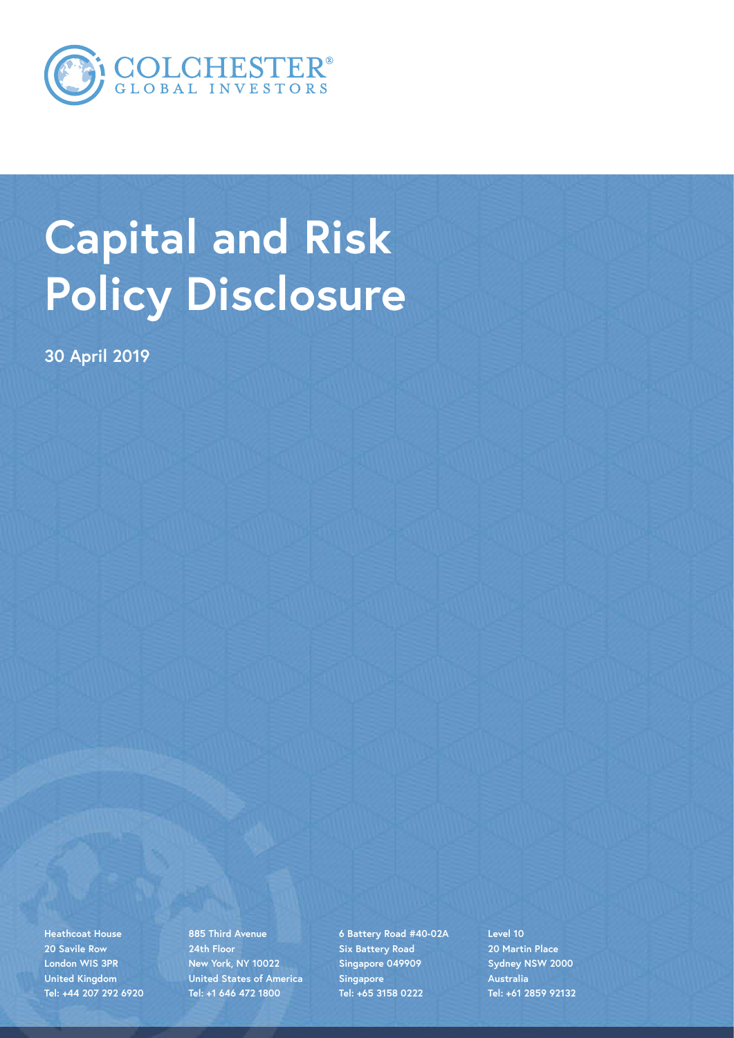

# **Capital and Risk Policy Disclosure**

**30 April 2019**

**Heathcoat House 20 Savile Row London WIS 3PR United Kingdom Tel: +44 207 292 6920**

**885 Third Avenue 24th Floor New York, NY 10022 United States of America Tel: +1 646 472 1800**

**6 Battery Road #40-02A Six Battery Road Singapore 049909 Singapore Tel: +65 3158 0222**

**Level 10 20 Martin Place Sydney NSW 2000 Australia Tel: +61 2859 92132**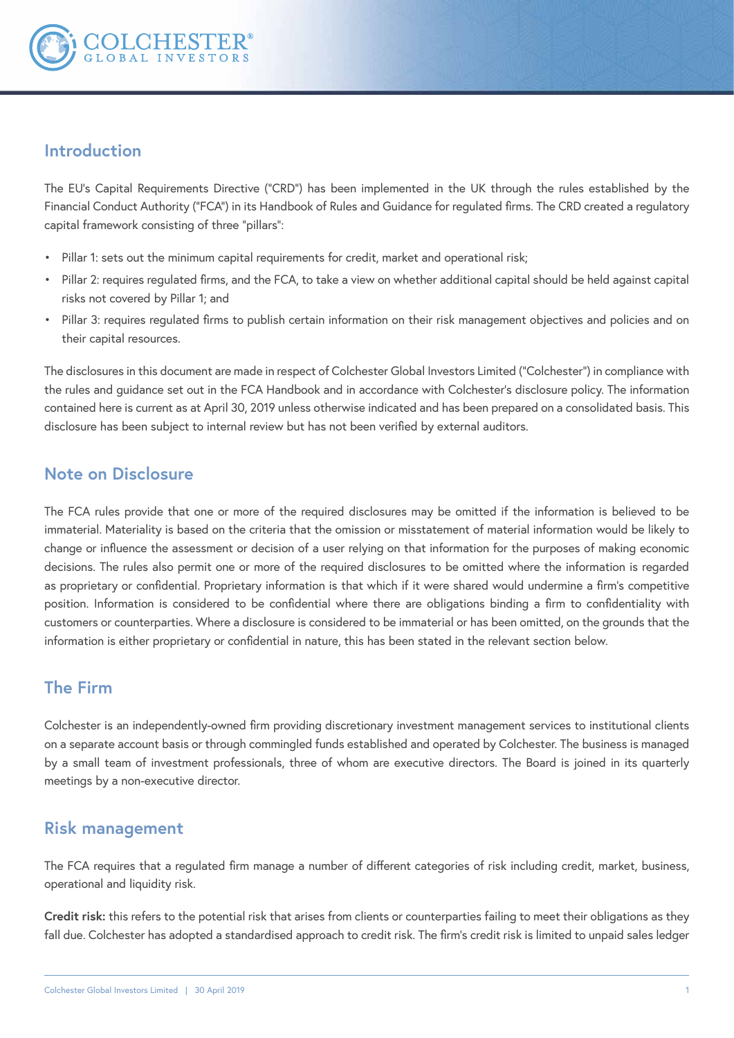

#### **Introduction**

The EU's Capital Requirements Directive ("CRD") has been implemented in the UK through the rules established by the Financial Conduct Authority ("FCA") in its Handbook of Rules and Guidance for regulated firms. The CRD created a regulatory capital framework consisting of three "pillars":

- Pillar 1: sets out the minimum capital requirements for credit, market and operational risk;
- Pillar 2: requires regulated firms, and the FCA, to take a view on whether additional capital should be held against capital risks not covered by Pillar 1; and
- Pillar 3: requires regulated firms to publish certain information on their risk management objectives and policies and on their capital resources.

The disclosures in this document are made in respect of Colchester Global Investors Limited ("Colchester") in compliance with the rules and guidance set out in the FCA Handbook and in accordance with Colchester's disclosure policy. The information contained here is current as at April 30, 2019 unless otherwise indicated and has been prepared on a consolidated basis. This disclosure has been subject to internal review but has not been verified by external auditors.

### **Note on Disclosure**

The FCA rules provide that one or more of the required disclosures may be omitted if the information is believed to be immaterial. Materiality is based on the criteria that the omission or misstatement of material information would be likely to change or influence the assessment or decision of a user relying on that information for the purposes of making economic decisions. The rules also permit one or more of the required disclosures to be omitted where the information is regarded as proprietary or confidential. Proprietary information is that which if it were shared would undermine a firm's competitive position. Information is considered to be confidential where there are obligations binding a firm to confidentiality with customers or counterparties. Where a disclosure is considered to be immaterial or has been omitted, on the grounds that the information is either proprietary or confidential in nature, this has been stated in the relevant section below.

### **The Firm**

Colchester is an independently-owned firm providing discretionary investment management services to institutional clients on a separate account basis or through commingled funds established and operated by Colchester. The business is managed by a small team of investment professionals, three of whom are executive directors. The Board is joined in its quarterly meetings by a non-executive director.

#### **Risk management**

The FCA requires that a regulated firm manage a number of different categories of risk including credit, market, business, operational and liquidity risk.

**Credit risk:** this refers to the potential risk that arises from clients or counterparties failing to meet their obligations as they fall due. Colchester has adopted a standardised approach to credit risk. The firm's credit risk is limited to unpaid sales ledger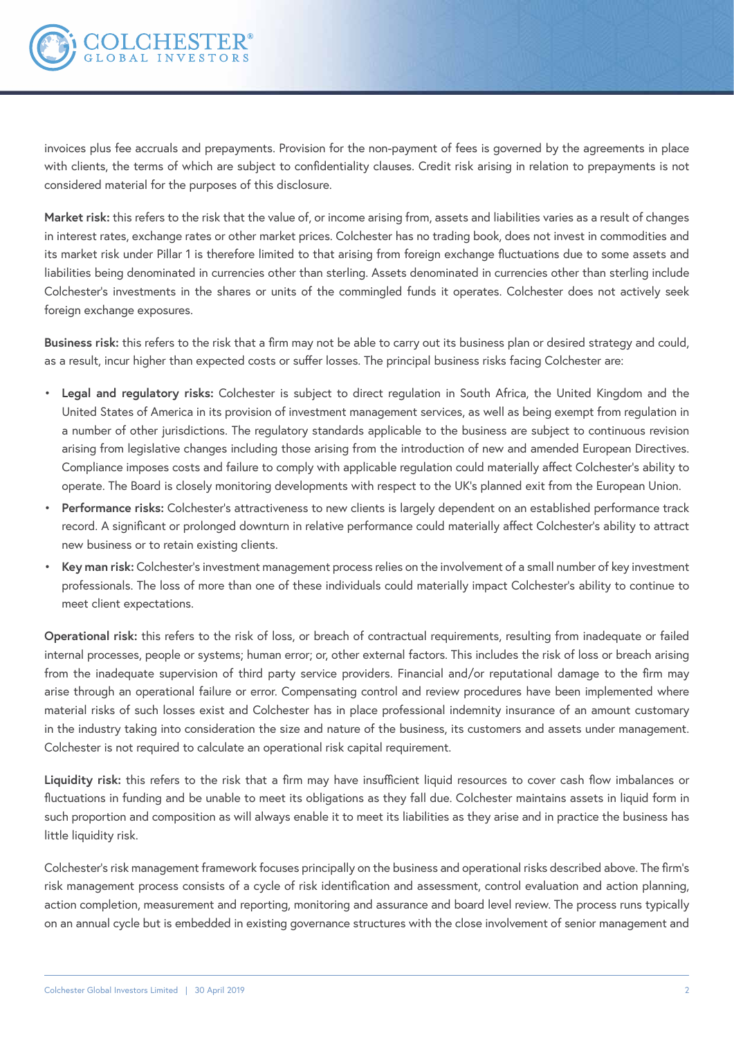

invoices plus fee accruals and prepayments. Provision for the non-payment of fees is governed by the agreements in place with clients, the terms of which are subject to confidentiality clauses. Credit risk arising in relation to prepayments is not considered material for the purposes of this disclosure.

**Market risk:** this refers to the risk that the value of, or income arising from, assets and liabilities varies as a result of changes in interest rates, exchange rates or other market prices. Colchester has no trading book, does not invest in commodities and its market risk under Pillar 1 is therefore limited to that arising from foreign exchange fluctuations due to some assets and liabilities being denominated in currencies other than sterling. Assets denominated in currencies other than sterling include Colchester's investments in the shares or units of the commingled funds it operates. Colchester does not actively seek foreign exchange exposures.

**Business risk:** this refers to the risk that a firm may not be able to carry out its business plan or desired strategy and could, as a result, incur higher than expected costs or suffer losses. The principal business risks facing Colchester are:

- **Legal and regulatory risks:** Colchester is subject to direct regulation in South Africa, the United Kingdom and the United States of America in its provision of investment management services, as well as being exempt from regulation in a number of other jurisdictions. The regulatory standards applicable to the business are subject to continuous revision arising from legislative changes including those arising from the introduction of new and amended European Directives. Compliance imposes costs and failure to comply with applicable regulation could materially affect Colchester's ability to operate. The Board is closely monitoring developments with respect to the UK's planned exit from the European Union.
- **Performance risks:** Colchester's attractiveness to new clients is largely dependent on an established performance track record. A significant or prolonged downturn in relative performance could materially affect Colchester's ability to attract new business or to retain existing clients.
- **Key man risk:** Colchester's investment management process relies on the involvement of a small number of key investment professionals. The loss of more than one of these individuals could materially impact Colchester's ability to continue to meet client expectations.

**Operational risk:** this refers to the risk of loss, or breach of contractual requirements, resulting from inadequate or failed internal processes, people or systems; human error; or, other external factors. This includes the risk of loss or breach arising from the inadequate supervision of third party service providers. Financial and/or reputational damage to the firm may arise through an operational failure or error. Compensating control and review procedures have been implemented where material risks of such losses exist and Colchester has in place professional indemnity insurance of an amount customary in the industry taking into consideration the size and nature of the business, its customers and assets under management. Colchester is not required to calculate an operational risk capital requirement.

**Liquidity risk:** this refers to the risk that a firm may have insufficient liquid resources to cover cash flow imbalances or fluctuations in funding and be unable to meet its obligations as they fall due. Colchester maintains assets in liquid form in such proportion and composition as will always enable it to meet its liabilities as they arise and in practice the business has little liquidity risk.

Colchester's risk management framework focuses principally on the business and operational risks described above. The firm's risk management process consists of a cycle of risk identification and assessment, control evaluation and action planning, action completion, measurement and reporting, monitoring and assurance and board level review. The process runs typically on an annual cycle but is embedded in existing governance structures with the close involvement of senior management and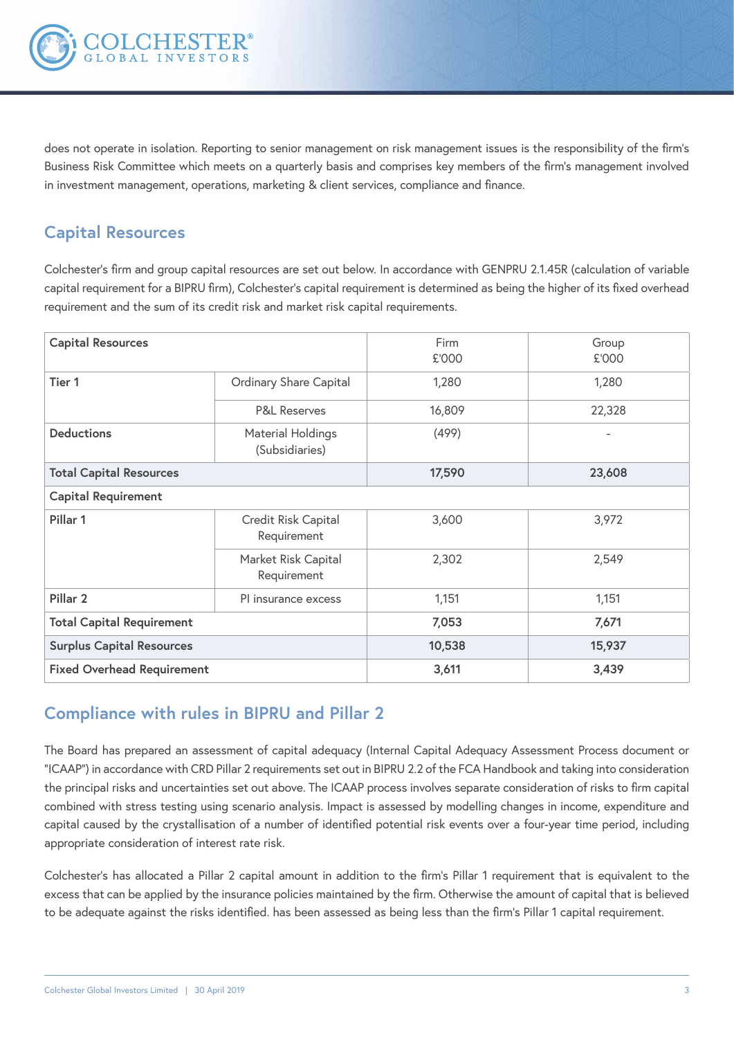

does not operate in isolation. Reporting to senior management on risk management issues is the responsibility of the firm's Business Risk Committee which meets on a quarterly basis and comprises key members of the firm's management involved in investment management, operations, marketing & client services, compliance and finance.

## **Capital Resources**

Colchester's firm and group capital resources are set out below. In accordance with GENPRU 2.1.45R (calculation of variable capital requirement for a BIPRU firm), Colchester's capital requirement is determined as being the higher of its fixed overhead requirement and the sum of its credit risk and market risk capital requirements.

| <b>Capital Resources</b>          |                                     | Firm<br>£'000 | Group<br>£'000 |  |  |
|-----------------------------------|-------------------------------------|---------------|----------------|--|--|
| Tier 1                            | Ordinary Share Capital              | 1,280         | 1,280          |  |  |
|                                   | <b>P&amp;L Reserves</b>             | 16,809        | 22,328         |  |  |
| <b>Deductions</b>                 | Material Holdings<br>(Subsidiaries) | (499)         |                |  |  |
| <b>Total Capital Resources</b>    |                                     | 17,590        | 23,608         |  |  |
| <b>Capital Requirement</b>        |                                     |               |                |  |  |
| Pillar 1                          | Credit Risk Capital<br>Requirement  | 3,600         | 3,972          |  |  |
|                                   | Market Risk Capital<br>Requirement  | 2,302         | 2,549          |  |  |
| Pillar <sub>2</sub>               | PI insurance excess                 | 1,151         | 1,151          |  |  |
| <b>Total Capital Requirement</b>  |                                     | 7,053         | 7,671          |  |  |
| <b>Surplus Capital Resources</b>  |                                     | 10,538        | 15,937         |  |  |
| <b>Fixed Overhead Requirement</b> |                                     | 3,611         | 3,439          |  |  |

### **Compliance with rules in BIPRU and Pillar 2**

The Board has prepared an assessment of capital adequacy (Internal Capital Adequacy Assessment Process document or "ICAAP") in accordance with CRD Pillar 2 requirements set out in BIPRU 2.2 of the FCA Handbook and taking into consideration the principal risks and uncertainties set out above. The ICAAP process involves separate consideration of risks to firm capital combined with stress testing using scenario analysis. Impact is assessed by modelling changes in income, expenditure and capital caused by the crystallisation of a number of identified potential risk events over a four-year time period, including appropriate consideration of interest rate risk.

Colchester's has allocated a Pillar 2 capital amount in addition to the firm's Pillar 1 requirement that is equivalent to the excess that can be applied by the insurance policies maintained by the firm. Otherwise the amount of capital that is believed to be adequate against the risks identified. has been assessed as being less than the firm's Pillar 1 capital requirement.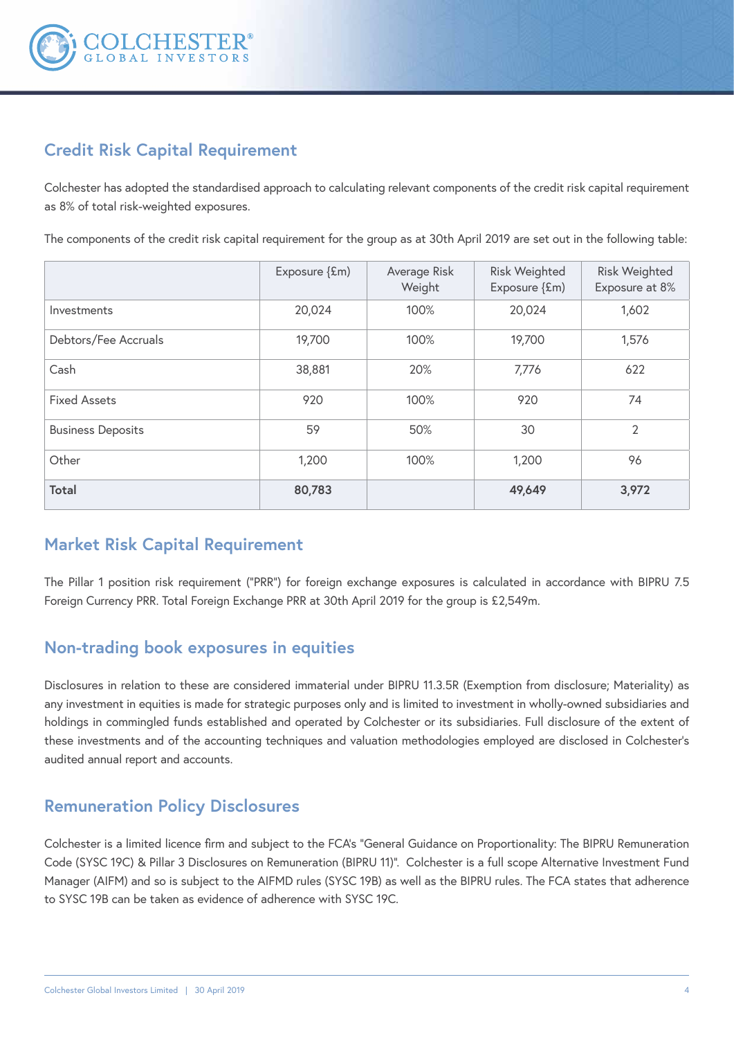

# **Credit Risk Capital Requirement**

Colchester has adopted the standardised approach to calculating relevant components of the credit risk capital requirement as 8% of total risk-weighted exposures.

The components of the credit risk capital requirement for the group as at 30th April 2019 are set out in the following table:

|                          | Exposure {£m) | Average Risk<br>Weight | <b>Risk Weighted</b><br>Exposure {£m) | <b>Risk Weighted</b><br>Exposure at 8% |
|--------------------------|---------------|------------------------|---------------------------------------|----------------------------------------|
| Investments              | 20,024        | 100%                   | 20,024                                | 1,602                                  |
| Debtors/Fee Accruals     | 19,700        | 100%                   | 19,700                                | 1,576                                  |
| Cash                     | 38,881        | 20%                    | 7,776                                 | 622                                    |
| <b>Fixed Assets</b>      | 920           | 100%                   | 920                                   | 74                                     |
| <b>Business Deposits</b> | 59            | 50%                    | 30                                    | 2                                      |
| Other                    | 1,200         | 100%                   | 1,200                                 | 96                                     |
| <b>Total</b>             | 80,783        |                        | 49,649                                | 3,972                                  |

### **Market Risk Capital Requirement**

The Pillar 1 position risk requirement ("PRR") for foreign exchange exposures is calculated in accordance with BIPRU 7.5 Foreign Currency PRR. Total Foreign Exchange PRR at 30th April 2019 for the group is £2,549m.

### **Non-trading book exposures in equities**

Disclosures in relation to these are considered immaterial under BIPRU 11.3.5R (Exemption from disclosure; Materiality) as any investment in equities is made for strategic purposes only and is limited to investment in wholly-owned subsidiaries and holdings in commingled funds established and operated by Colchester or its subsidiaries. Full disclosure of the extent of these investments and of the accounting techniques and valuation methodologies employed are disclosed in Colchester's audited annual report and accounts.

### **Remuneration Policy Disclosures**

Colchester is a limited licence firm and subject to the FCA's "General Guidance on Proportionality: The BIPRU Remuneration Code (SYSC 19C) & Pillar 3 Disclosures on Remuneration (BIPRU 11)". Colchester is a full scope Alternative Investment Fund Manager (AIFM) and so is subject to the AIFMD rules (SYSC 19B) as well as the BIPRU rules. The FCA states that adherence to SYSC 19B can be taken as evidence of adherence with SYSC 19C.